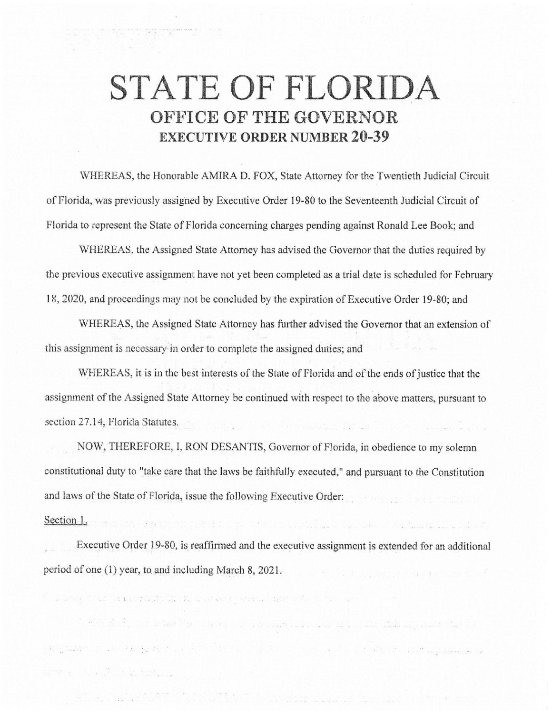## **STATE OF FLORIDA OFFICE OF THE GOVERNOR EXECUTIVE ORDER NUMBER 20-39**

\VHEREAS, the Honorable AMIRA D. FOX, State Attorney for the Twentieth Judicial Circuit of Florida, was previously assigned by Executive Order 19-80 to the Seventeenth Judicial Circuit of Florida to represent the State of Florida concerning charges pending against Ronald Lee Book; and

WHEREAS, the Assigned State Attorney has advised the Governor that the duties required by the previous executive assignment have not yet been completed as a trial date is scheduled for February 18, 2020, and proceedings may not be concluded by the expiration of Executive Order 19-80; and

WHEREAS, the Assigned State Attorney has further advised the Governor that an extension of this assignment is necessary in order to complete the assigned duties; and

WHEREAS, it is in the best interests of the State of Florida and of the ends of justice that the assignment of the Assigned State Attorney be continued with respect to the above matters, pursuant to section 27.14, Florida Statutes.

NOW, THEREFORE, I, RON DESANTIS, Governor of Florida, in obedience to my solemn constitutional duty to "take care that the laws be faithfully executed," and pursuant to the Constitution and laws of the State of Florida, issue the following Executive Order:

Section l.

the the state of the state of the first control of the state of the state of the state of the state of the state of the state of the state of the state of the state of the state of the state of the state of the state of th

Executive Order 19-80, is reaffinned and the executive assignment is extended for an additional period of one (1) year, to. and including March 8, 2021.

 $\mathcal{P}(z) = \frac{1}{2\pi i} \frac{1}{\sqrt{2\pi i}} \frac{1}{\sqrt{2\pi i}} \frac{1}{\sqrt{2\pi i}} \frac{1}{\sqrt{2\pi i}} \frac{1}{\sqrt{2\pi i}} \frac{1}{\sqrt{2\pi i}} \frac{1}{\sqrt{2\pi i}} \frac{1}{\sqrt{2\pi i}} \frac{1}{\sqrt{2\pi i}} \frac{1}{\sqrt{2\pi i}} \frac{1}{\sqrt{2\pi i}} \frac{1}{\sqrt{2\pi i}} \frac{1}{\sqrt{2\pi i}} \frac{1}{\sqrt{2\pi i}} \frac{1}{\sqrt{2\pi i}} \frac{1}{\$ 

organisation in the installation of the company of the

or any stream to be well and the

and the first management of the selection of the second part of the selection of